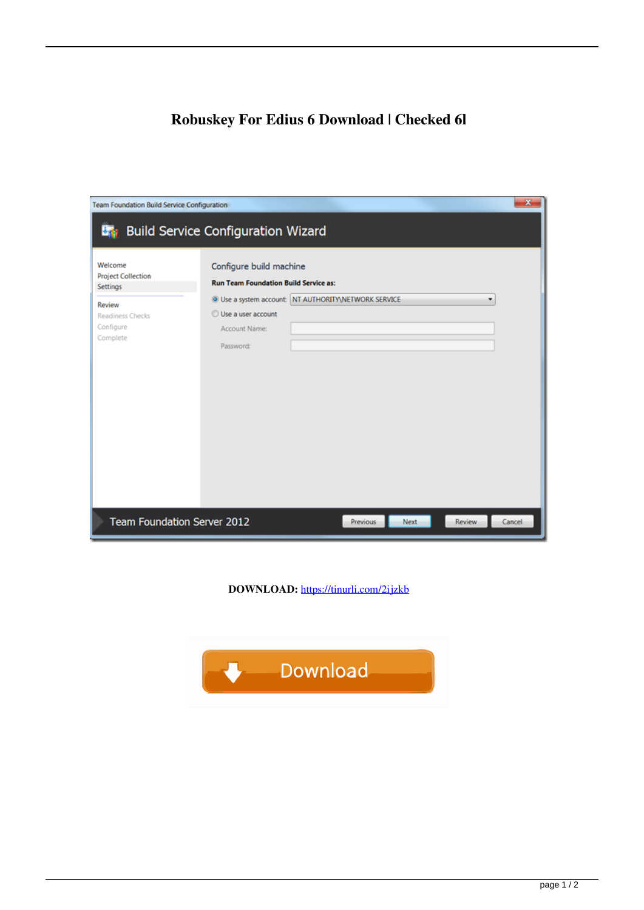## **Robuskey For Edius 6 Download | Checked 6l**

| $\overline{\mathbf{x}}$<br><b>Team Foundation Build Service Configuration</b> |                                                                         |                                                                 |  |        |  |
|-------------------------------------------------------------------------------|-------------------------------------------------------------------------|-----------------------------------------------------------------|--|--------|--|
| <b>Build Service Configuration Wizard</b><br>Bar .                            |                                                                         |                                                                 |  |        |  |
| Welcome<br><b>Project Collection</b><br>Settings                              | Configure build machine<br><b>Run Team Foundation Build Service as:</b> |                                                                 |  |        |  |
| Review<br><b>Readiness Checks</b><br>Configure<br>Complete                    | Use a user account<br>Account Name:<br>Password:                        | <sup>O</sup> Use a system account: NT AUTHORITY NETWORK SERVICE |  | ۰      |  |
| Team Foundation Server 2012<br>Review<br><b>Previous</b><br>Next              |                                                                         |                                                                 |  | Cancel |  |

**DOWNLOAD:** <https://tinurli.com/2ijzkb>